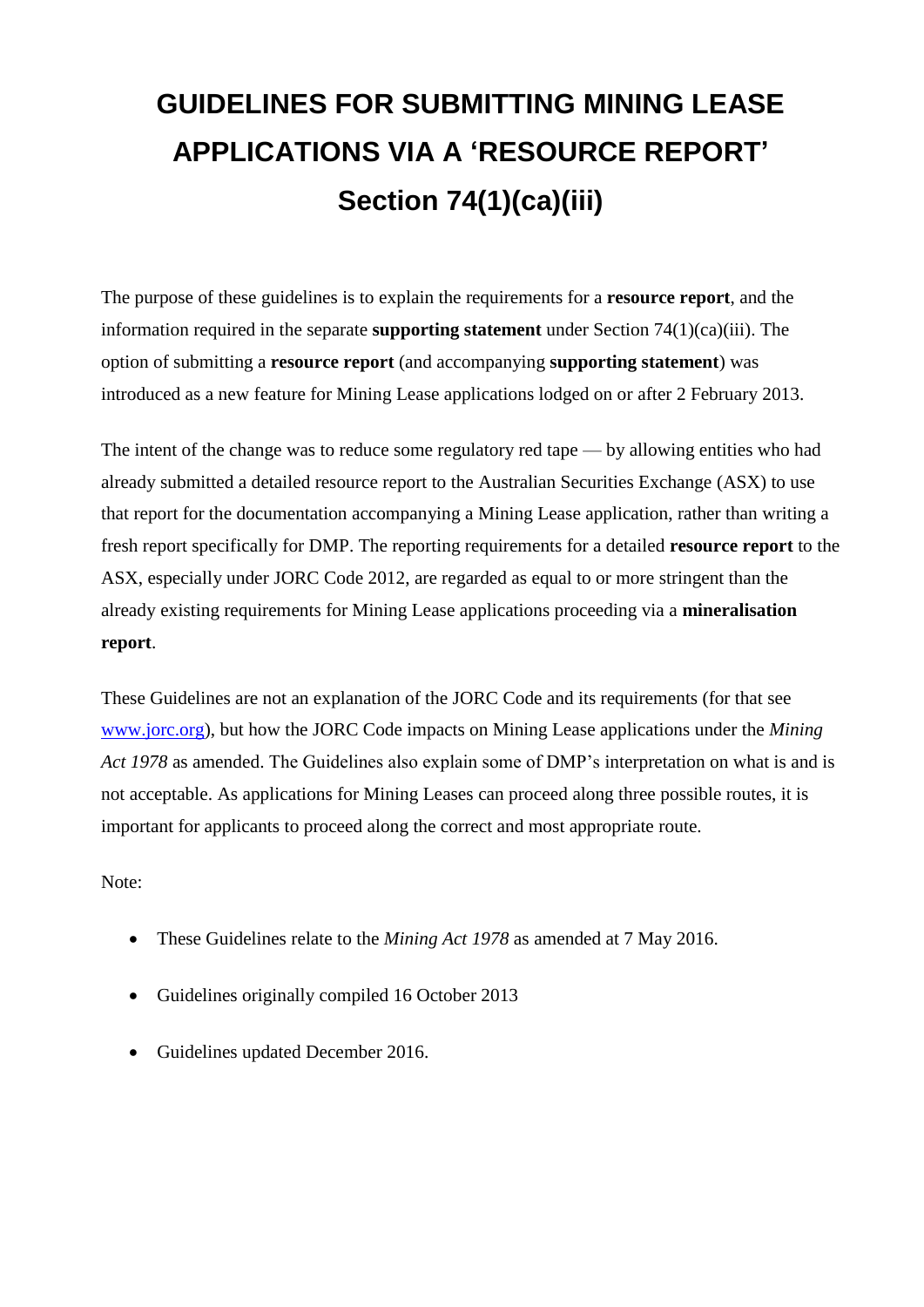# **GUIDELINES FOR SUBMITTING MINING LEASE APPLICATIONS VIA A 'RESOURCE REPORT' Section 74(1)(ca)(iii)**

The purpose of these guidelines is to explain the requirements for a **resource report**, and the information required in the separate **supporting statement** under Section 74(1)(ca)(iii). The option of submitting a **resource report** (and accompanying **supporting statement**) was introduced as a new feature for Mining Lease applications lodged on or after 2 February 2013.

The intent of the change was to reduce some regulatory red tape — by allowing entities who had already submitted a detailed resource report to the Australian Securities Exchange (ASX) to use that report for the documentation accompanying a Mining Lease application, rather than writing a fresh report specifically for DMP. The reporting requirements for a detailed **resource report** to the ASX, especially under JORC Code 2012, are regarded as equal to or more stringent than the already existing requirements for Mining Lease applications proceeding via a **mineralisation report**.

These Guidelines are not an explanation of the JORC Code and its requirements (for that see [www.jorc.org\)](http://www.jorc.org/), but how the JORC Code impacts on Mining Lease applications under the *Mining Act 1978* as amended. The Guidelines also explain some of DMP's interpretation on what is and is not acceptable. As applications for Mining Leases can proceed along three possible routes, it is important for applicants to proceed along the correct and most appropriate route.

Note:

- These Guidelines relate to the *Mining Act 1978* as amended at 7 May 2016.
- Guidelines originally compiled 16 October 2013
- Guidelines updated December 2016.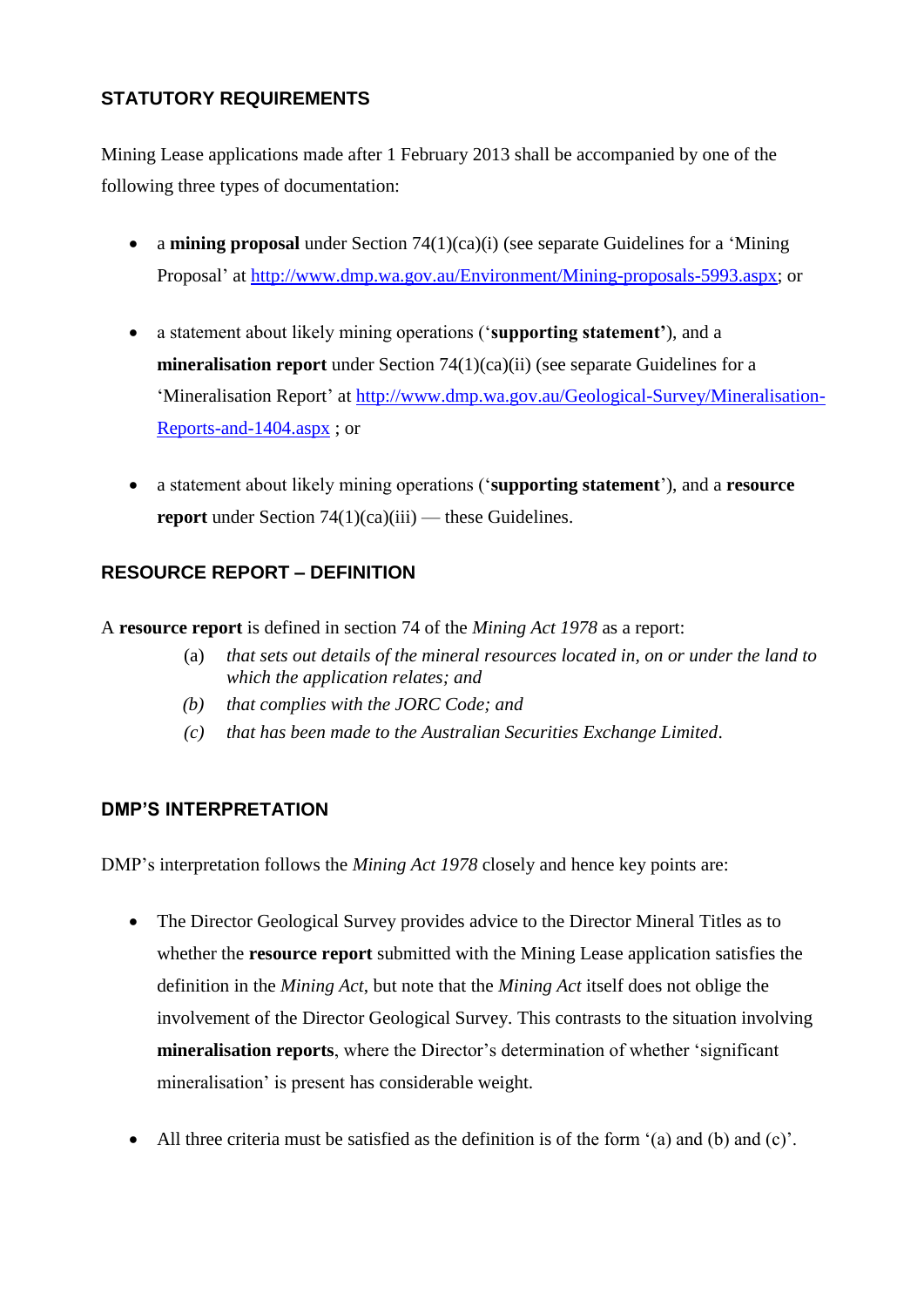# **STATUTORY REQUIREMENTS**

Mining Lease applications made after 1 February 2013 shall be accompanied by one of the following three types of documentation:

- a **mining proposal** under Section 74(1)(ca)(i) (see separate Guidelines for a 'Mining Proposal' at [http://www.dmp.wa.gov.au/Environment/Mining-proposals-5993.aspx;](http://www.dmp.wa.gov.au/Environment/Mining-proposals-5993.aspx) or
- a statement about likely mining operations ('**supporting statement'**), and a **mineralisation report** under Section 74(1)(ca)(ii) (see separate Guidelines for a 'Mineralisation Report' at [http://www.dmp.wa.gov.au/Geological-Survey/Mineralisation-](http://www.dmp.wa.gov.au/Geological-Survey/Mineralisation-Reports-and-1404.aspx)[Reports-and-1404.aspx](http://www.dmp.wa.gov.au/Geological-Survey/Mineralisation-Reports-and-1404.aspx) ; or
- a statement about likely mining operations ('**supporting statement**'), and a **resource report** under Section 74(1)(ca)(iii) — these Guidelines.

# **RESOURCE REPORT – DEFINITION**

A **resource report** is defined in section 74 of the *Mining Act 1978* as a report:

- (a) *that sets out details of the mineral resources located in, on or under the land to which the application relates; and*
- *(b) that complies with the JORC Code; and*
- *(c) that has been made to the Australian Securities Exchange Limited*.

## **DMP'S INTERPRETATION**

DMP's interpretation follows the *Mining Act 1978* closely and hence key points are:

- The Director Geological Survey provides advice to the Director Mineral Titles as to whether the **resource report** submitted with the Mining Lease application satisfies the definition in the *Mining Act*, but note that the *Mining Act* itself does not oblige the involvement of the Director Geological Survey. This contrasts to the situation involving **mineralisation reports**, where the Director's determination of whether 'significant mineralisation' is present has considerable weight.
- All three criteria must be satisfied as the definition is of the form '(a) and (b) and (c)'.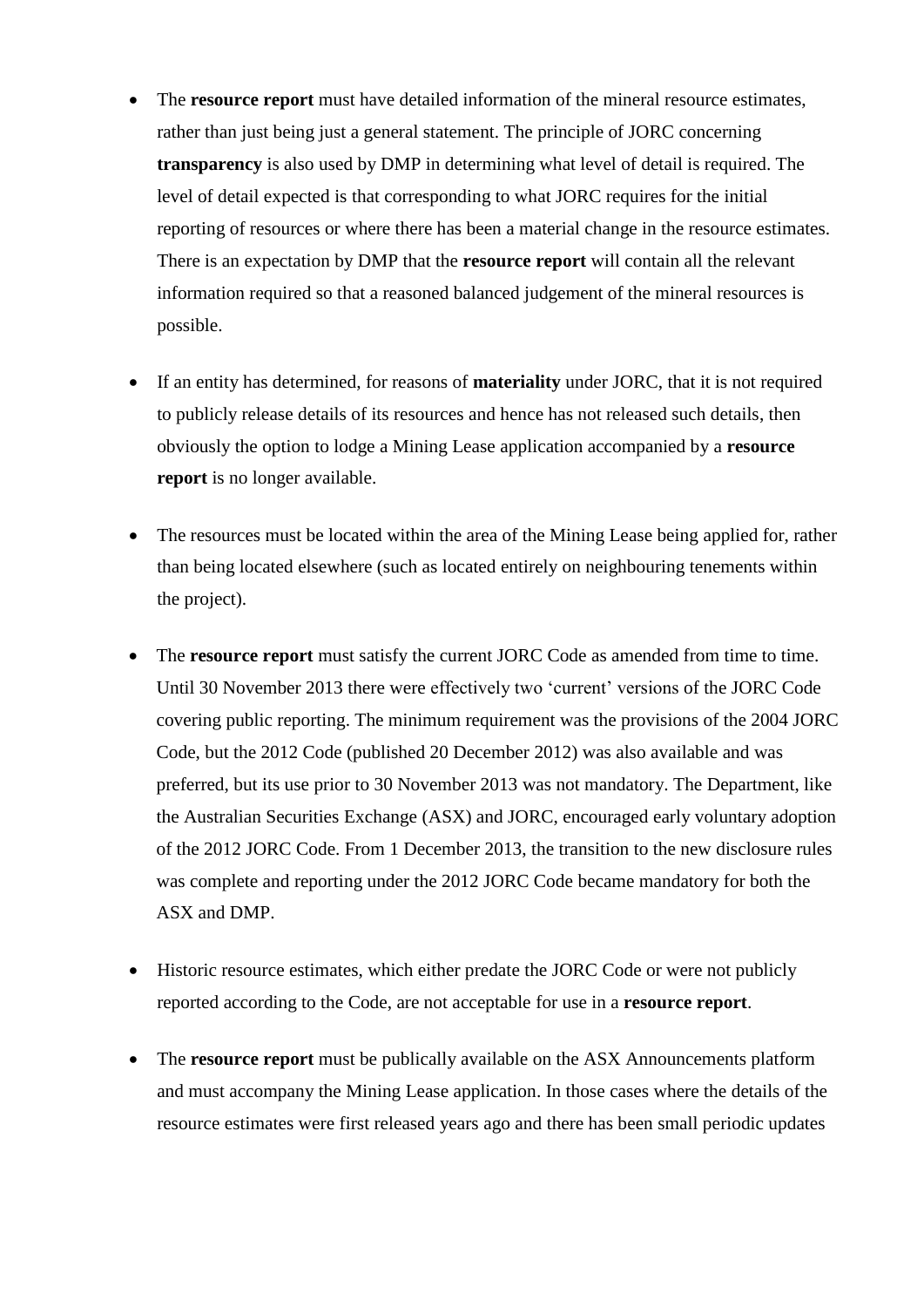- The **resource report** must have detailed information of the mineral resource estimates, rather than just being just a general statement. The principle of JORC concerning **transparency** is also used by DMP in determining what level of detail is required. The level of detail expected is that corresponding to what JORC requires for the initial reporting of resources or where there has been a material change in the resource estimates. There is an expectation by DMP that the **resource report** will contain all the relevant information required so that a reasoned balanced judgement of the mineral resources is possible.
- If an entity has determined, for reasons of **materiality** under JORC, that it is not required to publicly release details of its resources and hence has not released such details, then obviously the option to lodge a Mining Lease application accompanied by a **resource report** is no longer available.
- The resources must be located within the area of the Mining Lease being applied for, rather than being located elsewhere (such as located entirely on neighbouring tenements within the project).
- The **resource report** must satisfy the current JORC Code as amended from time to time. Until 30 November 2013 there were effectively two 'current' versions of the JORC Code covering public reporting. The minimum requirement was the provisions of the 2004 JORC Code, but the 2012 Code (published 20 December 2012) was also available and was preferred, but its use prior to 30 November 2013 was not mandatory. The Department, like the Australian Securities Exchange (ASX) and JORC, encouraged early voluntary adoption of the 2012 JORC Code. From 1 December 2013, the transition to the new disclosure rules was complete and reporting under the 2012 JORC Code became mandatory for both the ASX and DMP.
- Historic resource estimates, which either predate the JORC Code or were not publicly reported according to the Code, are not acceptable for use in a **resource report**.
- The **resource report** must be publically available on the ASX Announcements platform and must accompany the Mining Lease application. In those cases where the details of the resource estimates were first released years ago and there has been small periodic updates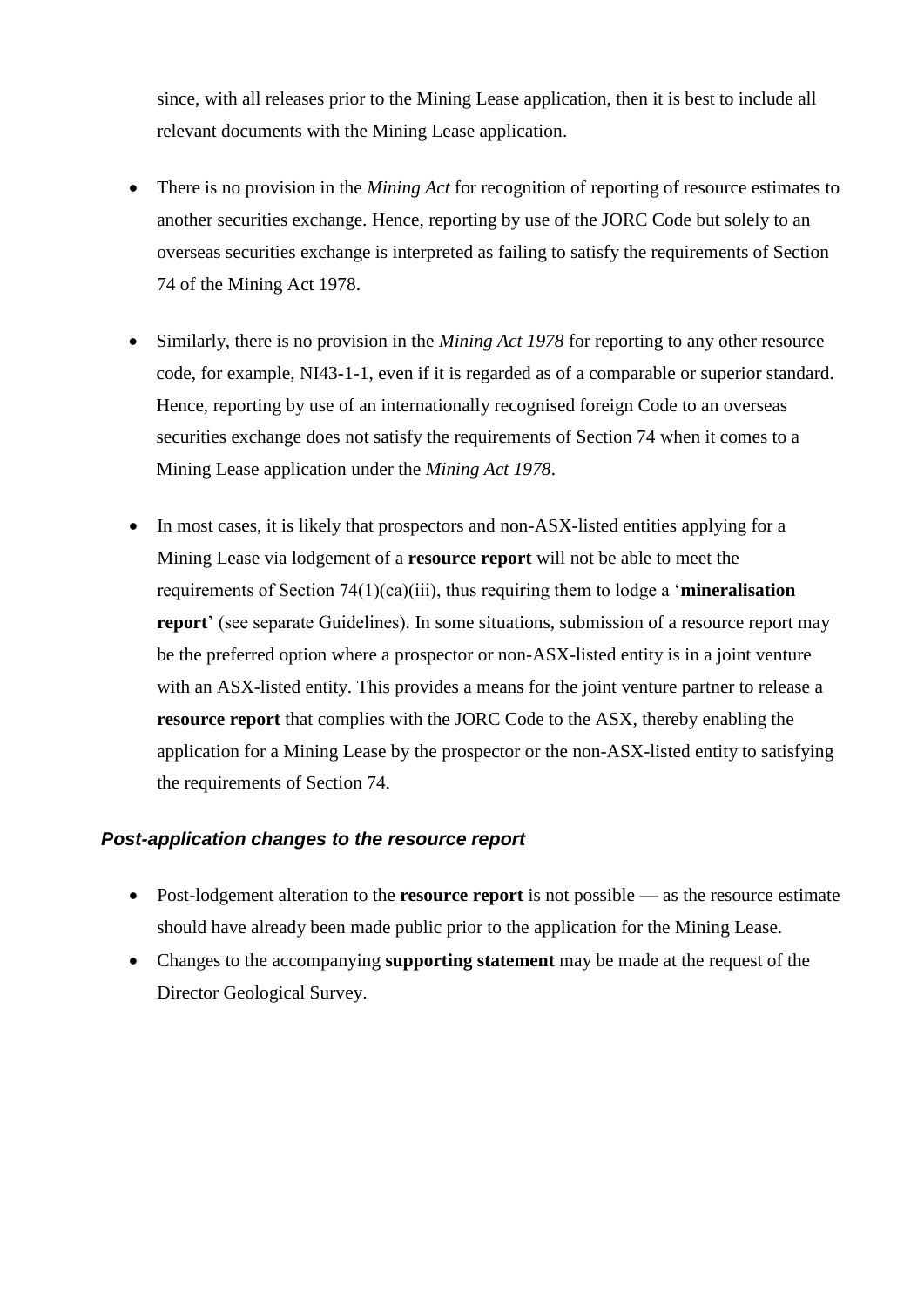since, with all releases prior to the Mining Lease application, then it is best to include all relevant documents with the Mining Lease application.

- There is no provision in the *Mining Act* for recognition of reporting of resource estimates to another securities exchange. Hence, reporting by use of the JORC Code but solely to an overseas securities exchange is interpreted as failing to satisfy the requirements of Section 74 of the Mining Act 1978.
- Similarly, there is no provision in the *Mining Act 1978* for reporting to any other resource code, for example, NI43-1-1, even if it is regarded as of a comparable or superior standard. Hence, reporting by use of an internationally recognised foreign Code to an overseas securities exchange does not satisfy the requirements of Section 74 when it comes to a Mining Lease application under the *Mining Act 1978*.
- In most cases, it is likely that prospectors and non-ASX-listed entities applying for a Mining Lease via lodgement of a **resource report** will not be able to meet the requirements of Section 74(1)(ca)(iii), thus requiring them to lodge a '**mineralisation report**' (see separate Guidelines). In some situations, submission of a resource report may be the preferred option where a prospector or non-ASX-listed entity is in a joint venture with an ASX-listed entity. This provides a means for the joint venture partner to release a **resource report** that complies with the JORC Code to the ASX, thereby enabling the application for a Mining Lease by the prospector or the non-ASX-listed entity to satisfying the requirements of Section 74.

#### *Post-application changes to the resource report*

- Post-lodgement alteration to the **resource report** is not possible as the resource estimate should have already been made public prior to the application for the Mining Lease.
- Changes to the accompanying **supporting statement** may be made at the request of the Director Geological Survey.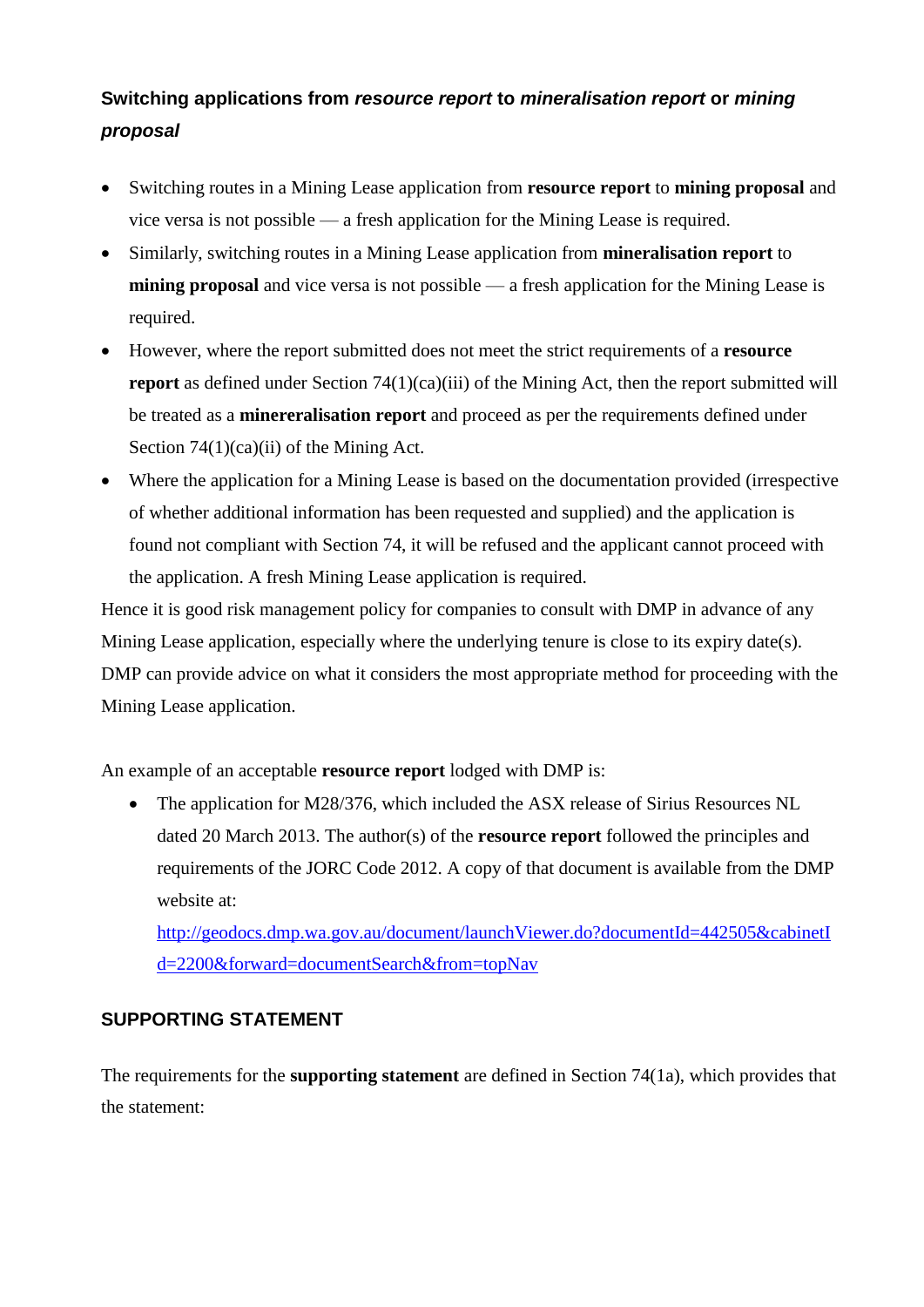# **Switching applications from** *resource report* **to** *mineralisation report* **or** *mining proposal*

- Switching routes in a Mining Lease application from **resource report** to **mining proposal** and vice versa is not possible — a fresh application for the Mining Lease is required.
- Similarly, switching routes in a Mining Lease application from **mineralisation report** to **mining proposal** and vice versa is not possible — a fresh application for the Mining Lease is required.
- However, where the report submitted does not meet the strict requirements of a **resource report** as defined under Section 74(1)(ca)(iii) of the Mining Act, then the report submitted will be treated as a **minereralisation report** and proceed as per the requirements defined under Section 74(1)(ca)(ii) of the Mining Act.
- Where the application for a Mining Lease is based on the documentation provided (irrespective of whether additional information has been requested and supplied) and the application is found not compliant with Section 74, it will be refused and the applicant cannot proceed with the application. A fresh Mining Lease application is required.

Hence it is good risk management policy for companies to consult with DMP in advance of any Mining Lease application, especially where the underlying tenure is close to its expiry date(s). DMP can provide advice on what it considers the most appropriate method for proceeding with the Mining Lease application.

An example of an acceptable **resource report** lodged with DMP is:

• The application for M28/376, which included the ASX release of Sirius Resources NL dated 20 March 2013. The author(s) of the **resource report** followed the principles and requirements of the JORC Code 2012. A copy of that document is available from the DMP website at:

[http://geodocs.dmp.wa.gov.au/document/launchViewer.do?documentId=442505&cabinetI](http://geodocs.dmp.wa.gov.au/document/launchViewer.do?documentId=442505&cabinetId=2200&forward=documentSearch&from=topNav) [d=2200&forward=documentSearch&from=topNav](http://geodocs.dmp.wa.gov.au/document/launchViewer.do?documentId=442505&cabinetId=2200&forward=documentSearch&from=topNav)

# **SUPPORTING STATEMENT**

The requirements for the **supporting statement** are defined in Section 74(1a), which provides that the statement: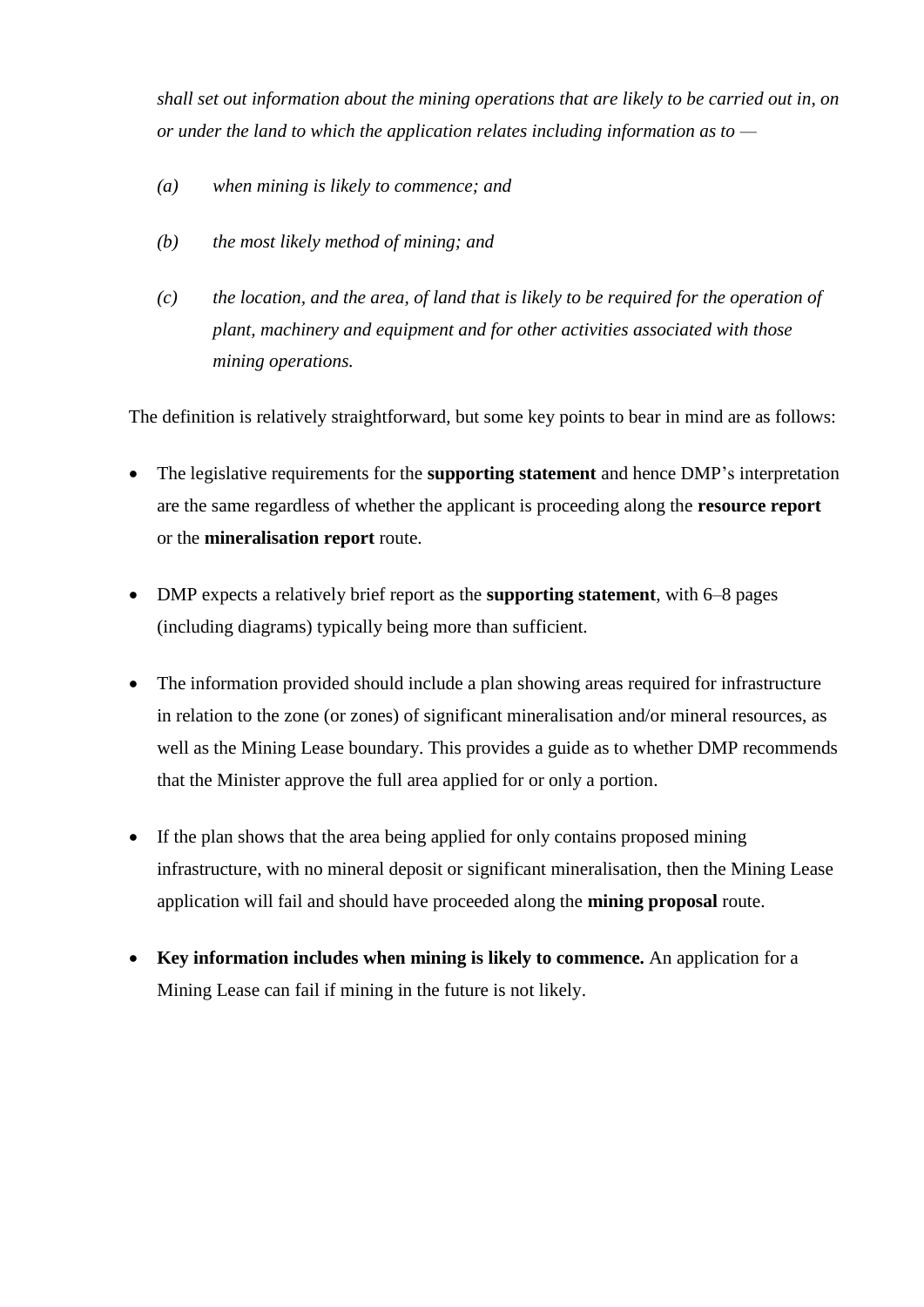*shall set out information about the mining operations that are likely to be carried out in, on or under the land to which the application relates including information as to —*

- *(a) when mining is likely to commence; and*
- *(b) the most likely method of mining; and*
- *(c) the location, and the area, of land that is likely to be required for the operation of plant, machinery and equipment and for other activities associated with those mining operations.*

The definition is relatively straightforward, but some key points to bear in mind are as follows:

- The legislative requirements for the **supporting statement** and hence DMP's interpretation are the same regardless of whether the applicant is proceeding along the **resource report** or the **mineralisation report** route.
- DMP expects a relatively brief report as the **supporting statement**, with 6–8 pages (including diagrams) typically being more than sufficient.
- The information provided should include a plan showing areas required for infrastructure in relation to the zone (or zones) of significant mineralisation and/or mineral resources, as well as the Mining Lease boundary. This provides a guide as to whether DMP recommends that the Minister approve the full area applied for or only a portion.
- If the plan shows that the area being applied for only contains proposed mining infrastructure, with no mineral deposit or significant mineralisation, then the Mining Lease application will fail and should have proceeded along the **mining proposal** route.
- **Key information includes when mining is likely to commence.** An application for a Mining Lease can fail if mining in the future is not likely.